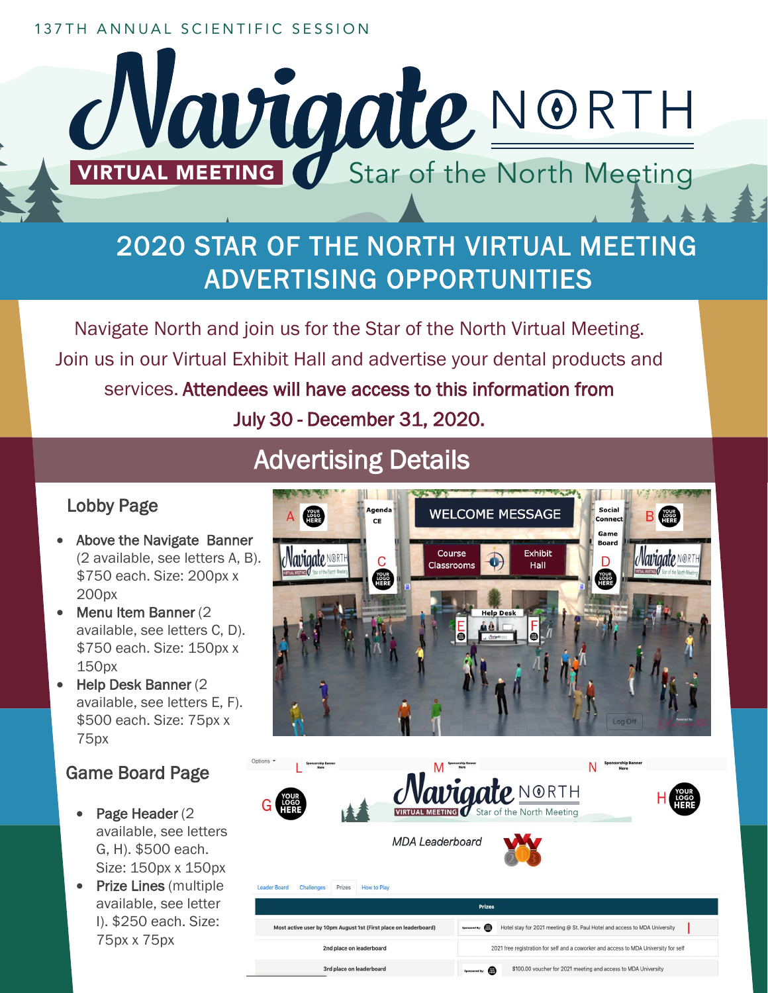#### 137TH ANNUAL SCIENTIFIC SESSION



# 2020 STAR OF THE NORTH VIRTUAL MEETING ADVERTISING OPPORTUNITIES

Navigate North and join us for the Star of the North Virtual Meeting. Join us in our Virtual Exhibit Hall and advertise your dental products and services. Attendees will have access to this information from July 30 - December 31, 2020.

## Advertising Details

### Lobby Page

- Above the Navigate Banner (2 available, see letters A, B). \$750 each. Size: 200px x 200px
- Menu Item Banner (2) available, see letters C, D). \$750 each. Size: 150px x 150px
- Help Desk Banner (2 available, see letters E, F). \$500 each. Size: 75px x 75px

### Game Board Page

- Page Header (2) available, see letters G, H). \$500 each. Size: 150px x 150px
- Prize Lines (multiple available, see letter I). \$250 each. Size: 75px x 75px



| Options *<br><b>Sponsorship Banner</b><br>Here                   |                        |                                                                                      |                                                                           | <b>Sponsorship Banner</b><br>Here |  |
|------------------------------------------------------------------|------------------------|--------------------------------------------------------------------------------------|---------------------------------------------------------------------------|-----------------------------------|--|
|                                                                  |                        |                                                                                      | Wavigate NORTH                                                            |                                   |  |
|                                                                  | <b>MDA Leaderboard</b> |                                                                                      |                                                                           |                                   |  |
| Prizes<br><b>Leader Board</b><br><b>Challenges</b>               | How to Play            |                                                                                      |                                                                           |                                   |  |
| <b>Prizes</b>                                                    |                        |                                                                                      |                                                                           |                                   |  |
| Most active user by 10pm August 1st (First place on leaderboard) |                        | Sponsored By:                                                                        | Hotel stay for 2021 meeting @ St. Paul Hotel and access to MDA University |                                   |  |
| 2nd place on leaderboard                                         |                        | 2021 free registration for self and a coworker and access to MDA University for self |                                                                           |                                   |  |
| 3rd place on leaderboard                                         |                        | \$100.00 voucher for 2021 meeting and access to MDA University<br>Sponsored By:      |                                                                           |                                   |  |